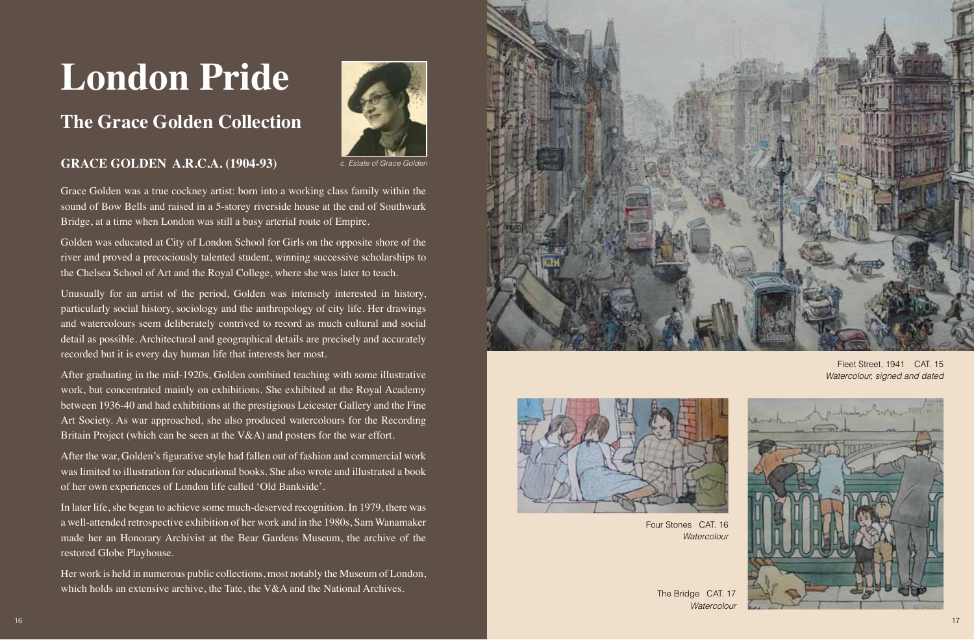## **London Pride**

## **The Grace Golden Collection**

## **GRACE GOLDEN A.R.C.A. (1904-93)**



*c. Estate of Grace Golden*

Grace Golden was a true cockney artist: born into a working class family within the sound of Bow Bells and raised in a 5-storey riverside house at the end of Southwark Bridge, at a time when London was still a busy arterial route of Empire.

Golden was educated at City of London School for Girls on the opposite shore of the river and proved a precociously talented student, winning successive scholarships to the Chelsea School of Art and the Royal College, where she was later to teach.

Unusually for an artist of the period, Golden was intensely interested in history, particularly social history, sociology and the anthropology of city life. Her drawings and watercolours seem deliberately contrived to record as much cultural and social detail as possible. Architectural and geographical details are precisely and accurately recorded but it is every day human life that interests her most.

After graduating in the mid-1920s, Golden combined teaching with some illustrative work, but concentrated mainly on exhibitions. She exhibited at the Royal Academy between 1936-40 and had exhibitions at the prestigious Leicester Gallery and the Fine Art Society. As war approached, she also produced watercolours for the Recording Britain Project (which can be seen at the V&A) and posters for the war effort.

After the war, Golden's figurative style had fallen out of fashion and commercial work was limited to illustration for educational books. She also wrote and illustrated a book of her own experiences of London life called 'Old Bankside'.

In later life, she began to achieve some much-deserved recognition. In 1979, there was a well-attended retrospective exhibition of her work and in the 1980s, Sam Wanamaker made her an Honorary Archivist at the Bear Gardens Museum, the archive of the restored Globe Playhouse.

Her work is held in numerous public collections, most notably the Museum of London, which holds an extensive archive, the Tate, the V&A and the National Archives.



Fleet Street, 1941 CAT. 15 *Watercolour, signed and dated*



Four Stones CAT. 16 *Watercolour*



The Bridge CAT *Watercolour*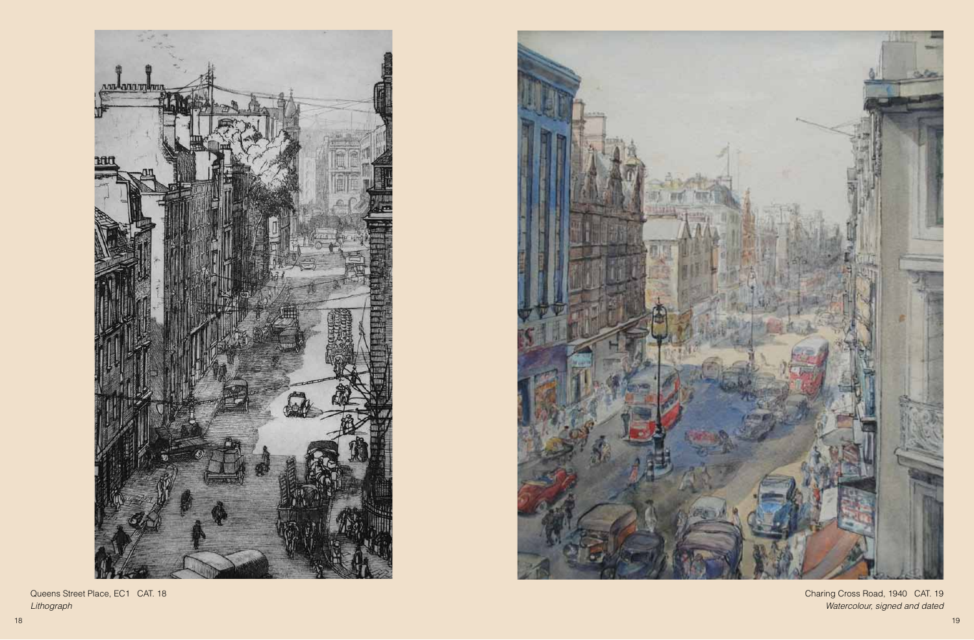

Queens Street Place, EC1 CAT. 18 *Lithograph*



Charing Cross Road, 1940 CAT. 19 *Watercolour, signed and dated*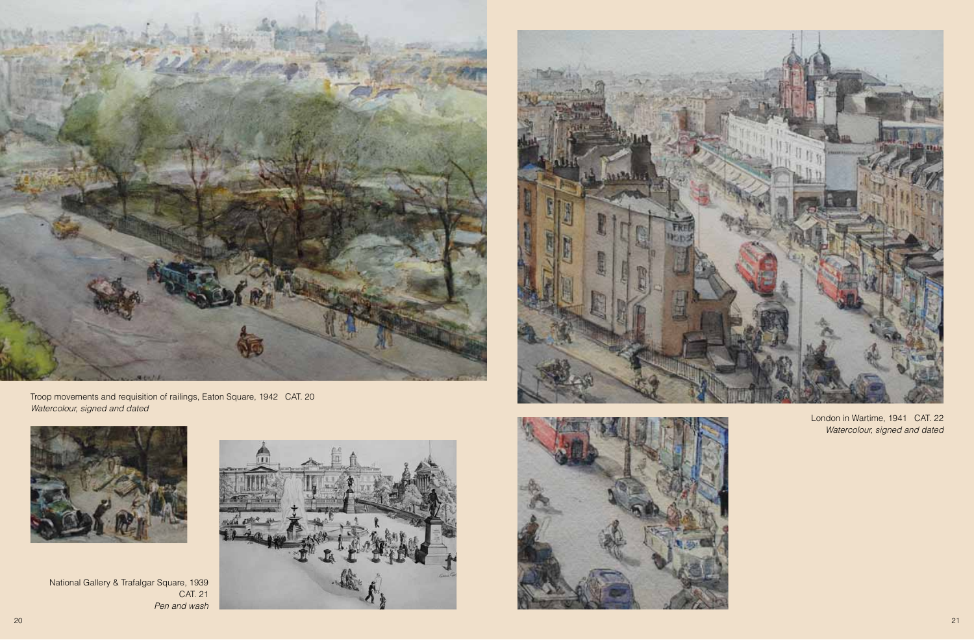



Troop movements and requisition of railings, Eaton Square, 1942 CAT. 20 *Watercolour, signed and dated*



National Gallery & Trafalgar Square, 1939 CAT. 21 *Pen and wash*





London in Wartime, 1941 CAT. 22 *Watercolour, signed and dated*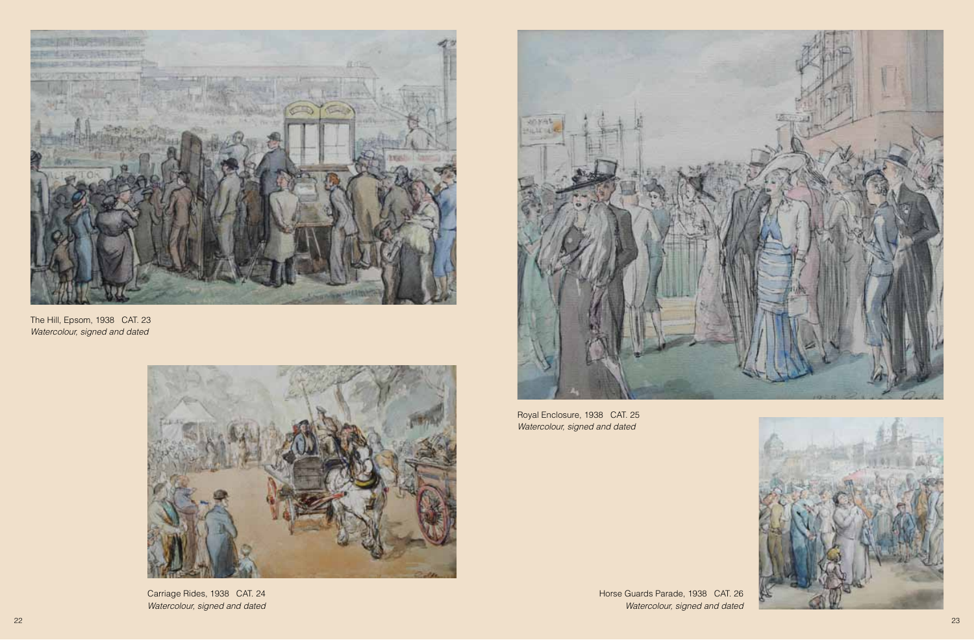

The Hill, Epsom, 1938 CAT. 23 *Watercolour, signed and dated*



Carriage Rides, 1938 CAT. 24 *Watercolour, signed and dated*



Royal Enclosure, 1938 CAT. 25 *Watercolour, signed and dated*



Horse Guards Parade, 1938 CAT. 26 *Watercolour, signed and dated*